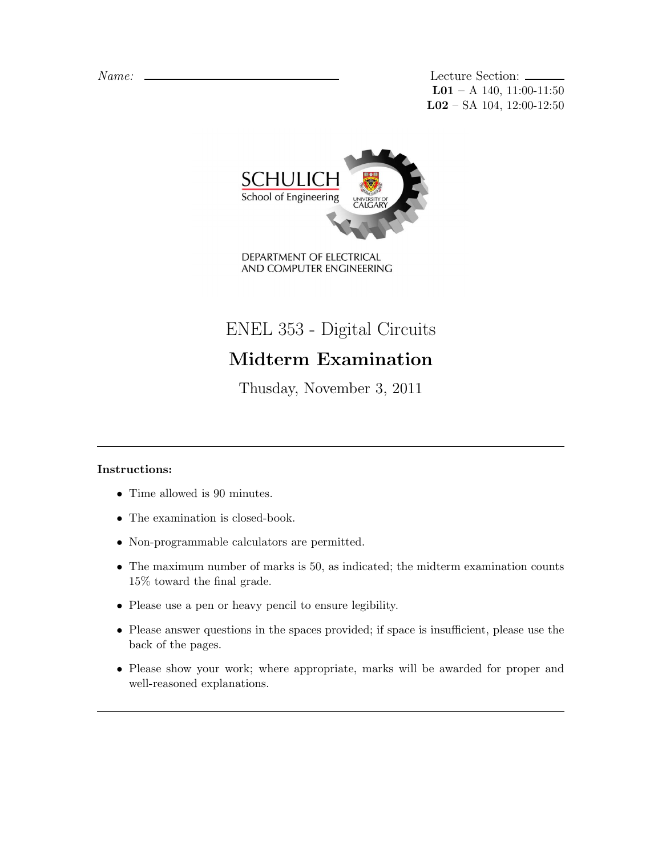Name: Lecture Section:  $L01 - A$  140, 11:00-11:50 L02 – SA 104, 12:00-12:50



DEPARTMENT OF ELECTRICAL AND COMPUTER ENGINEERING

ENEL 353 - Digital Circuits

## Midterm Examination

Thusday, November 3, 2011

## Instructions:

- Time allowed is 90 minutes.
- The examination is closed-book.
- Non-programmable calculators are permitted.
- The maximum number of marks is 50, as indicated; the midterm examination counts 15% toward the final grade.
- Please use a pen or heavy pencil to ensure legibility.
- Please answer questions in the spaces provided; if space is insufficient, please use the back of the pages.
- Please show your work; where appropriate, marks will be awarded for proper and well-reasoned explanations.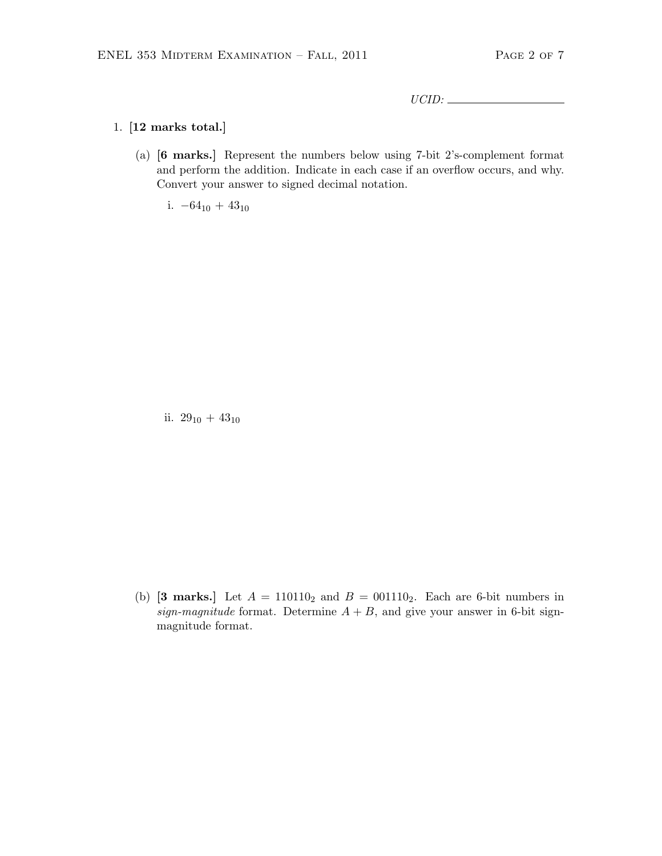UCID:

## 1. [12 marks total.]

(a) [6 marks.] Represent the numbers below using 7-bit 2's-complement format and perform the addition. Indicate in each case if an overflow occurs, and why. Convert your answer to signed decimal notation.

i.  $-64_{10} + 43_{10}$ 

ii.  $29_{10} + 43_{10}$ 

(b) [3 marks.] Let  $A = 110110_2$  and  $B = 001110_2$ . Each are 6-bit numbers in sign-magnitude format. Determine  $A + B$ , and give your answer in 6-bit signmagnitude format.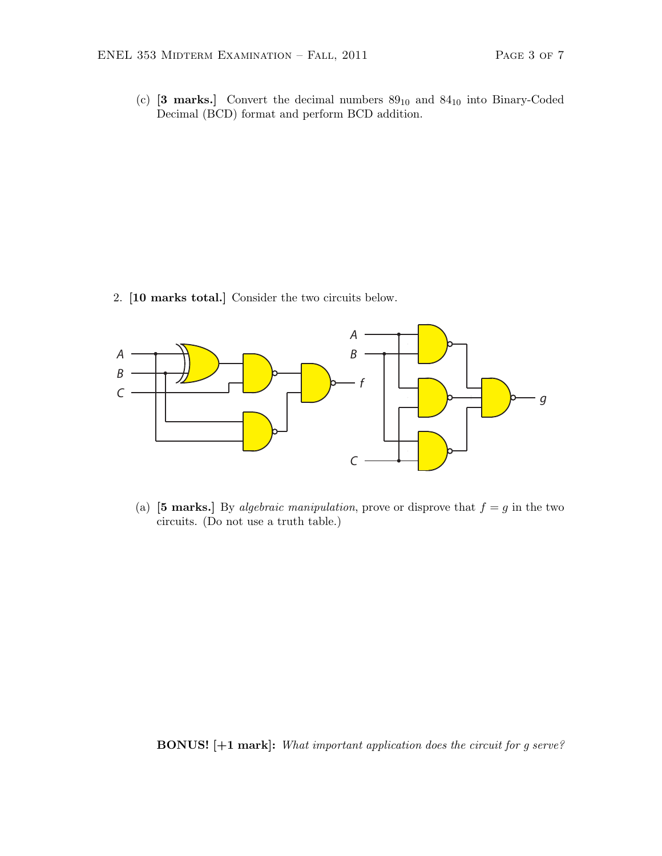(c)  $[3 \text{ marks.}]$  Convert the decimal numbers  $89_{10}$  and  $84_{10}$  into Binary-Coded Decimal (BCD) format and perform BCD addition.

2. [10 marks total.] Consider the two circuits below.



(a) [5 marks.] By *algebraic manipulation*, prove or disprove that  $f = g$  in the two circuits. (Do not use a truth table.)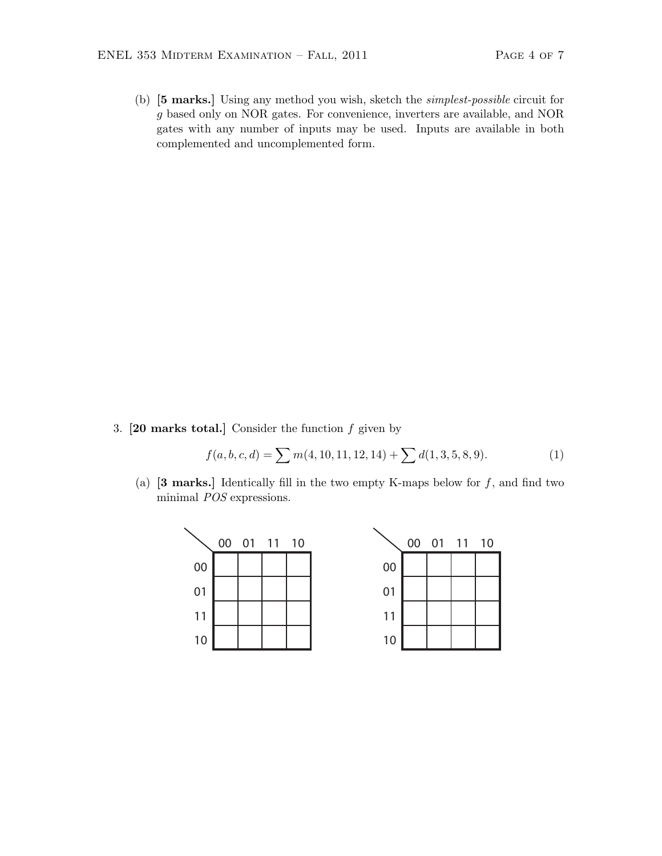(b) [5 marks.] Using any method you wish, sketch the simplest-possible circuit for g based only on NOR gates. For convenience, inverters are available, and NOR gates with any number of inputs may be used. Inputs are available in both complemented and uncomplemented form.

3.  $[20$  marks total.] Consider the function  $f$  given by

$$
f(a, b, c, d) = \sum m(4, 10, 11, 12, 14) + \sum d(1, 3, 5, 8, 9).
$$
 (1)

(a)  $[3 \text{ marks.}]$  Identically fill in the two empty K-maps below for f, and find two minimal POS expressions.

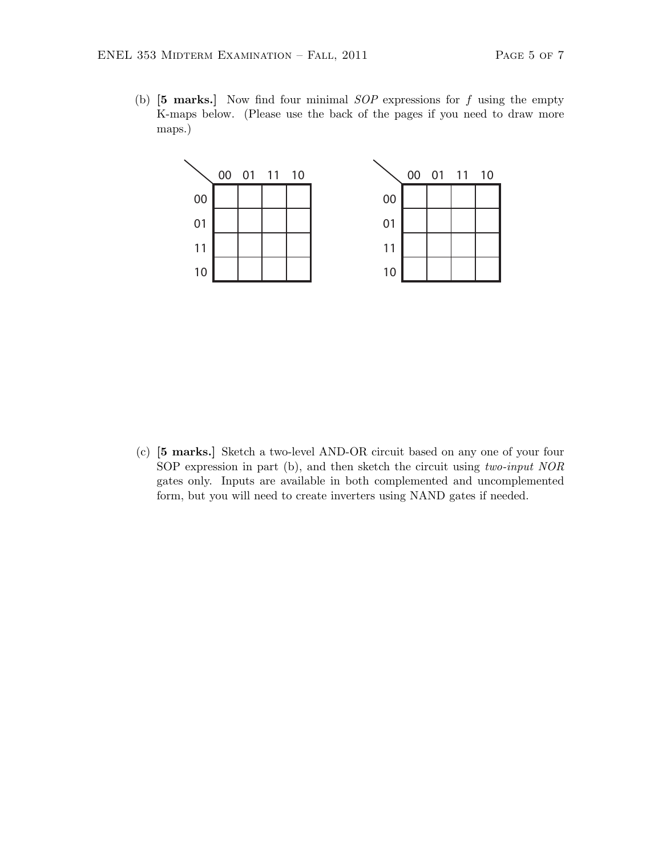(b)  $\begin{bmatrix} 5 \text{ marks.} \end{bmatrix}$  Now find four minimal SOP expressions for f using the empty K-maps below. (Please use the back of the pages if you need to draw more maps.)



(c) [5 marks.] Sketch a two-level AND-OR circuit based on any one of your four SOP expression in part (b), and then sketch the circuit using two-input NOR gates only. Inputs are available in both complemented and uncomplemented form, but you will need to create inverters using NAND gates if needed.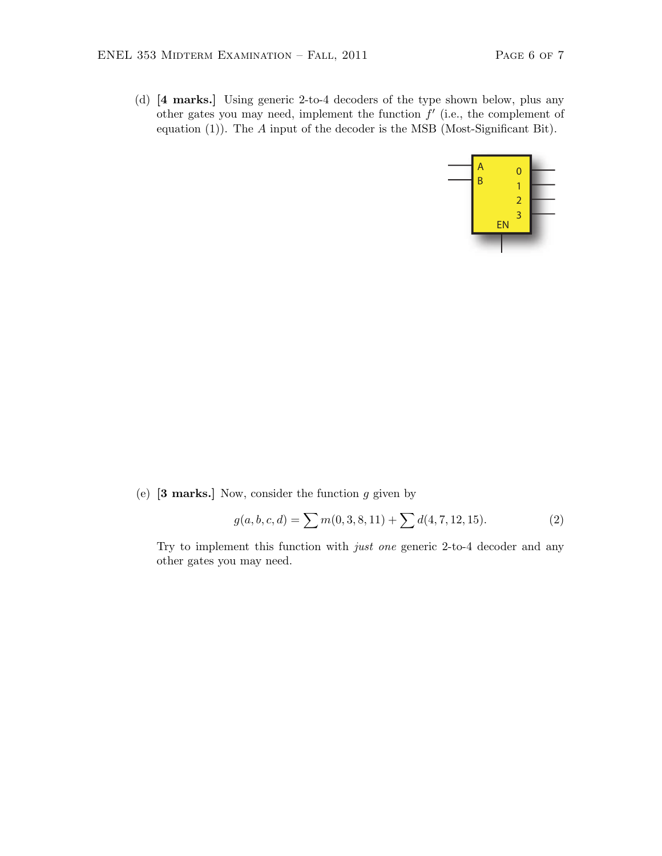(d) [4 marks.] Using generic 2-to-4 decoders of the type shown below, plus any other gates you may need, implement the function  $f'$  (i.e., the complement of equation (1)). The A input of the decoder is the MSB (Most-Significant Bit).



(e)  $\left[3 \text{ marks.}\right]$  Now, consider the function g given by

$$
g(a, b, c, d) = \sum m(0, 3, 8, 11) + \sum d(4, 7, 12, 15).
$$
 (2)

Try to implement this function with just one generic 2-to-4 decoder and any other gates you may need.